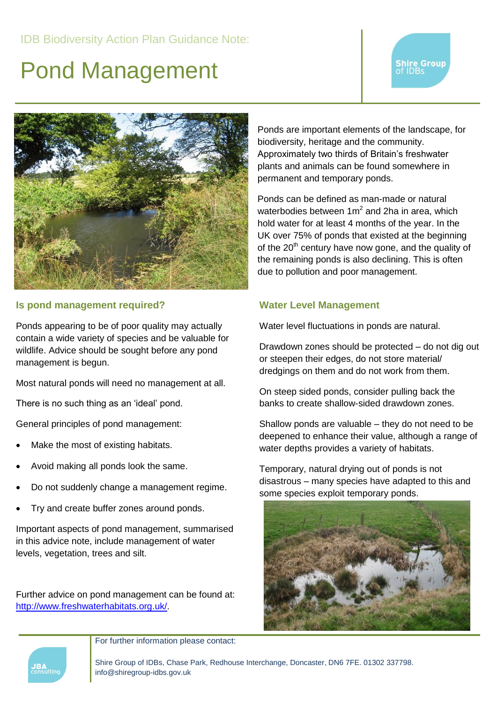# Pond Management





#### **Is pond management required?**

Ponds appearing to be of poor quality may actually contain a wide variety of species and be valuable for wildlife. Advice should be sought before any pond management is begun.

Most natural ponds will need no management at all.

There is no such thing as an 'ideal' pond.

General principles of pond management:

- Make the most of existing habitats.
- Avoid making all ponds look the same.
- Do not suddenly change a management regime.
- Try and create buffer zones around ponds.

Important aspects of pond management, summarised in this advice note, include management of water levels, vegetation, trees and silt.

Further advice on pond management can be found at: [http://www.freshwaterhabitats.org.uk/.](http://www.freshwaterhabitats.org.uk/)

Ponds are important elements of the landscape, for biodiversity, heritage and the community. Approximately two thirds of Britain's freshwater plants and animals can be found somewhere in permanent and temporary ponds.

Ponds can be defined as man-made or natural waterbodies between  $1m^2$  and 2ha in area, which hold water for at least 4 months of the year. In the UK over 75% of ponds that existed at the beginning of the  $20<sup>th</sup>$  century have now gone, and the quality of the remaining ponds is also declining. This is often due to pollution and poor management.

#### **Water Level Management**

Water level fluctuations in ponds are natural.

Drawdown zones should be protected – do not dig out or steepen their edges, do not store material/ dredgings on them and do not work from them.

On steep sided ponds, consider pulling back the banks to create shallow-sided drawdown zones.

Shallow ponds are valuable – they do not need to be deepened to enhance their value, although a range of water depths provides a variety of habitats.

Temporary, natural drying out of ponds is not disastrous – many species have adapted to this and some species exploit temporary ponds.





For further information please contact:

Shire Group of IDBs, Chase Park, Redhouse Interchange, Doncaster, DN6 7FE. 01302 337798. info@shiregroup-idbs.gov.uk